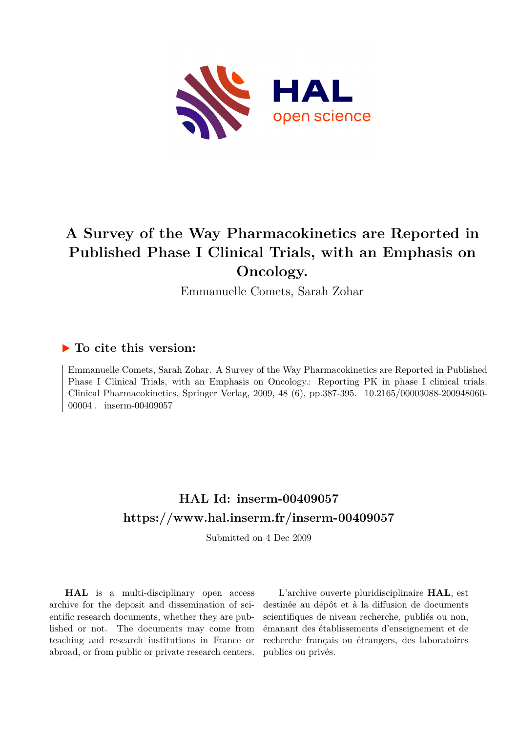

# **A Survey of the Way Pharmacokinetics are Reported in Published Phase I Clinical Trials, with an Emphasis on Oncology.**

Emmanuelle Comets, Sarah Zohar

#### **To cite this version:**

Emmanuelle Comets, Sarah Zohar. A Survey of the Way Pharmacokinetics are Reported in Published Phase I Clinical Trials, with an Emphasis on Oncology.: Reporting PK in phase I clinical trials. Clinical Pharmacokinetics, Springer Verlag, 2009, 48 (6), pp.387-395. 10.2165/00003088-200948060- $00004$ . inserm-00409057

### **HAL Id: inserm-00409057 <https://www.hal.inserm.fr/inserm-00409057>**

Submitted on 4 Dec 2009

**HAL** is a multi-disciplinary open access archive for the deposit and dissemination of scientific research documents, whether they are published or not. The documents may come from teaching and research institutions in France or abroad, or from public or private research centers.

L'archive ouverte pluridisciplinaire **HAL**, est destinée au dépôt et à la diffusion de documents scientifiques de niveau recherche, publiés ou non, émanant des établissements d'enseignement et de recherche français ou étrangers, des laboratoires publics ou privés.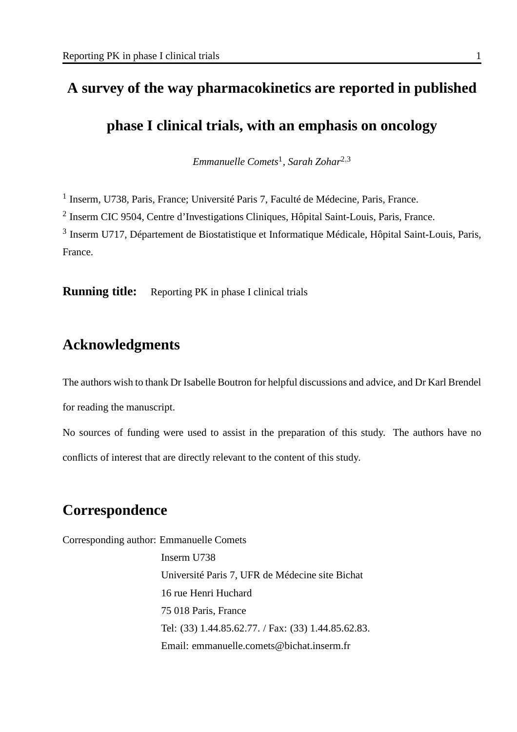## **A survey of the way pharmacokinetics are reported in published**

### **phase I clinical trials, with an emphasis on oncology**

*Emmanuelle Comets*<sup>1</sup> *, Sarah Zohar*2,<sup>3</sup>

<sup>1</sup> Inserm, U738, Paris, France; Université Paris 7, Faculté de Médecine, Paris, France.

<sup>2</sup> Inserm CIC 9504, Centre d'Investigations Cliniques, Hôpital Saint-Louis, Paris, France.

<sup>3</sup> Inserm U717, Département de Biostatistique et Informatique Médicale, Hôpital Saint-Louis, Paris, France.

**Running title:** Reporting PK in phase I clinical trials

### **Acknowledgments**

The authors wish to thank Dr Isabelle Boutron for helpful discussions and advice, and Dr Karl Brendel for reading the manuscript.

No sources of funding were used to assist in the preparation of this study. The authors have no conflicts of interest that are directly relevant to the content of this study.

### **Correspondence**

Corresponding author: Emmanuelle Comets

Inserm U738 Université Paris 7, UFR de Médecine site Bichat 16 rue Henri Huchard 75 018 Paris, France Tel: (33) 1.44.85.62.77. / Fax: (33) 1.44.85.62.83. Email: emmanuelle.comets@bichat.inserm.fr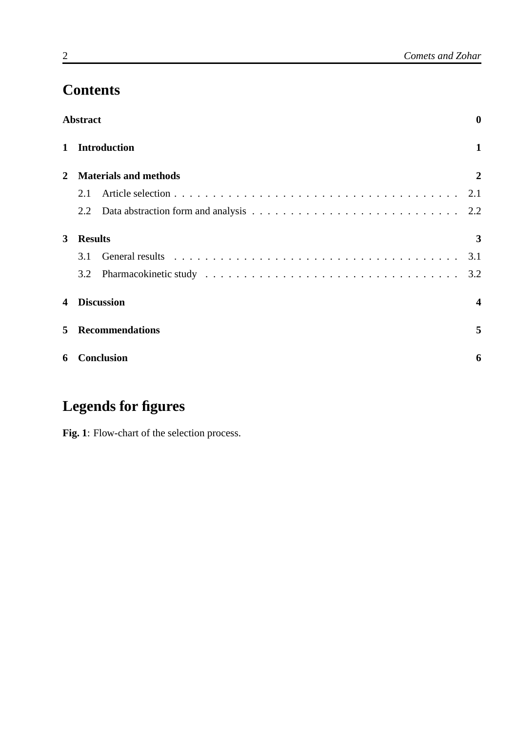# **Contents**

|              | <b>Abstract</b>   |                                                                                                                                                                                                                                |                |  |
|--------------|-------------------|--------------------------------------------------------------------------------------------------------------------------------------------------------------------------------------------------------------------------------|----------------|--|
| $\mathbf{1}$ |                   | <b>Introduction</b>                                                                                                                                                                                                            | $\mathbf{1}$   |  |
| $\mathbf{2}$ |                   | <b>Materials and methods</b>                                                                                                                                                                                                   | $\overline{2}$ |  |
|              | 2.1               |                                                                                                                                                                                                                                | 2.1            |  |
|              | 2.2               |                                                                                                                                                                                                                                |                |  |
| 3            | <b>Results</b>    |                                                                                                                                                                                                                                | 3              |  |
|              | 3.1               | General results response to contact the contract of the contract of the contract of the contract of the contract of the contract of the contract of the contract of the contract of the contract of the contract of the contra | 3.1            |  |
|              | 3.2               |                                                                                                                                                                                                                                | 3.2            |  |
| 4            |                   | <b>Discussion</b>                                                                                                                                                                                                              | 4              |  |
| 5            |                   | <b>Recommendations</b>                                                                                                                                                                                                         | 5              |  |
| 6            | <b>Conclusion</b> |                                                                                                                                                                                                                                |                |  |
|              |                   |                                                                                                                                                                                                                                |                |  |

# **Legends for figures**

**Fig. 1**: Flow-chart of the selection process.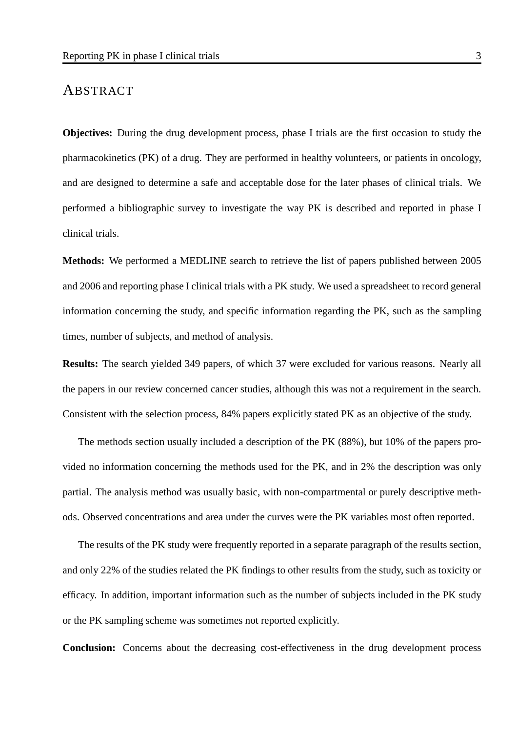#### ABSTRACT

**Objectives:** During the drug development process, phase I trials are the first occasion to study the pharmacokinetics (PK) of a drug. They are performed in healthy volunteers, or patients in oncology, and are designed to determine a safe and acceptable dose for the later phases of clinical trials. We performed a bibliographic survey to investigate the way PK is described and reported in phase I clinical trials.

**Methods:** We performed a MEDLINE search to retrieve the list of papers published between 2005 and 2006 and reporting phase I clinical trials with a PK study. We used a spreadsheet to record general information concerning the study, and specific information regarding the PK, such as the sampling times, number of subjects, and method of analysis.

**Results:** The search yielded 349 papers, of which 37 were excluded for various reasons. Nearly all the papers in our review concerned cancer studies, although this was not a requirement in the search. Consistent with the selection process, 84% papers explicitly stated PK as an objective of the study.

The methods section usually included a description of the PK (88%), but 10% of the papers provided no information concerning the methods used for the PK, and in 2% the description was only partial. The analysis method was usually basic, with non-compartmental or purely descriptive methods. Observed concentrations and area under the curves were the PK variables most often reported.

The results of the PK study were frequently reported in a separate paragraph of the results section, and only 22% of the studies related the PK findings to other results from the study, such as toxicity or efficacy. In addition, important information such as the number of subjects included in the PK study or the PK sampling scheme was sometimes not reported explicitly.

**Conclusion:** Concerns about the decreasing cost-effectiveness in the drug development process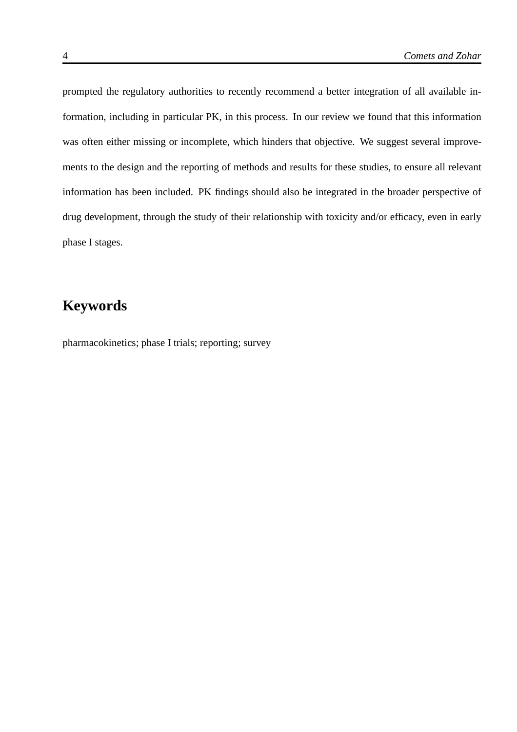prompted the regulatory authorities to recently recommend a better integration of all available information, including in particular PK, in this process. In our review we found that this information was often either missing or incomplete, which hinders that objective. We suggest several improvements to the design and the reporting of methods and results for these studies, to ensure all relevant information has been included. PK findings should also be integrated in the broader perspective of drug development, through the study of their relationship with toxicity and/or efficacy, even in early phase I stages.

# **Keywords**

pharmacokinetics; phase I trials; reporting; survey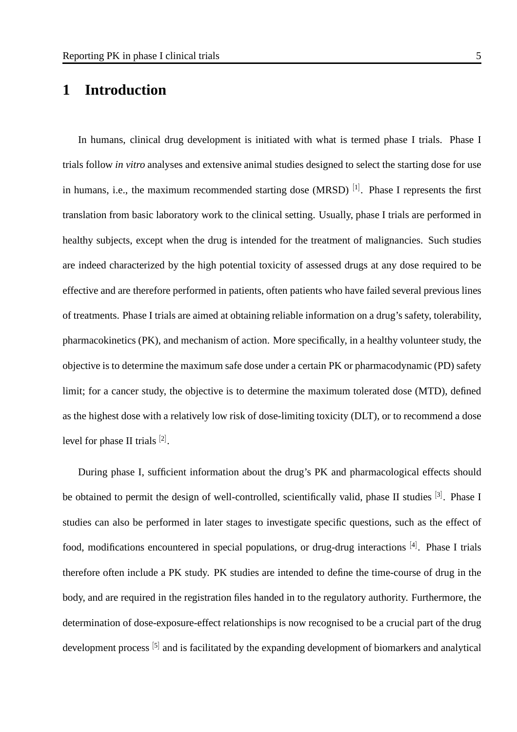### **1 Introduction**

In humans, clinical drug development is initiated with what is termed phase I trials. Phase I trials follow *in vitro* analyses and extensive animal studies designed to select the starting dose for use in humans, i.e., the maximum recommended starting dose (MRSD)  $^{[1]}$ . Phase I represents the first translation from basic laboratory work to the clinical setting. Usually, phase I trials are performed in healthy subjects, except when the drug is intended for the treatment of malignancies. Such studies are indeed characterized by the high potential toxicity of assessed drugs at any dose required to be effective and are therefore performed in patients, often patients who have failed several previous lines of treatments. Phase I trials are aimed at obtaining reliable information on a drug's safety, tolerability, pharmacokinetics (PK), and mechanism of action. More specifically, in a healthy volunteer study, the objective is to determine the maximum safe dose under a certain PK or pharmacodynamic (PD) safety limit; for a cancer study, the objective is to determine the maximum tolerated dose (MTD), defined as the highest dose with a relatively low risk of dose-limiting toxicity (DLT), or to recommend a dose level for phase II trials  $[2]$ .

During phase I, sufficient information about the drug's PK and pharmacological effects should be obtained to permit the design of well-controlled, scientifically valid, phase II studies <sup>[3]</sup>. Phase I studies can also be performed in later stages to investigate specific questions, such as the effect of food, modifications encountered in special populations, or drug-drug interactions [4]. Phase I trials therefore often include a PK study. PK studies are intended to define the time-course of drug in the body, and are required in the registration files handed in to the regulatory authority. Furthermore, the determination of dose-exposure-effect relationships is now recognised to be a crucial part of the drug development process <sup>[5]</sup> and is facilitated by the expanding development of biomarkers and analytical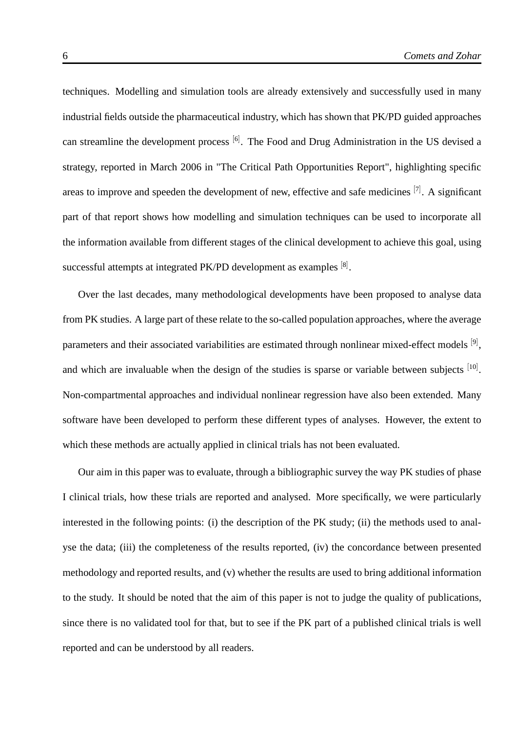techniques. Modelling and simulation tools are already extensively and successfully used in many industrial fields outside the pharmaceutical industry, which has shown that PK/PD guided approaches can streamline the development process <sup>[6]</sup>. The Food and Drug Administration in the US devised a strategy, reported in March 2006 in "The Critical Path Opportunities Report", highlighting specific areas to improve and speeden the development of new, effective and safe medicines <sup>[7]</sup>. A significant part of that report shows how modelling and simulation techniques can be used to incorporate all the information available from different stages of the clinical development to achieve this goal, using successful attempts at integrated PK/PD development as examples  $[8]$ .

Over the last decades, many methodological developments have been proposed to analyse data from PK studies. A large part of these relate to the so-called population approaches, where the average parameters and their associated variabilities are estimated through nonlinear mixed-effect models [9], and which are invaluable when the design of the studies is sparse or variable between subjects  $[10]$ . Non-compartmental approaches and individual nonlinear regression have also been extended. Many software have been developed to perform these different types of analyses. However, the extent to which these methods are actually applied in clinical trials has not been evaluated.

Our aim in this paper was to evaluate, through a bibliographic survey the way PK studies of phase I clinical trials, how these trials are reported and analysed. More specifically, we were particularly interested in the following points: (i) the description of the PK study; (ii) the methods used to analyse the data; (iii) the completeness of the results reported, (iv) the concordance between presented methodology and reported results, and (v) whether the results are used to bring additional information to the study. It should be noted that the aim of this paper is not to judge the quality of publications, since there is no validated tool for that, but to see if the PK part of a published clinical trials is well reported and can be understood by all readers.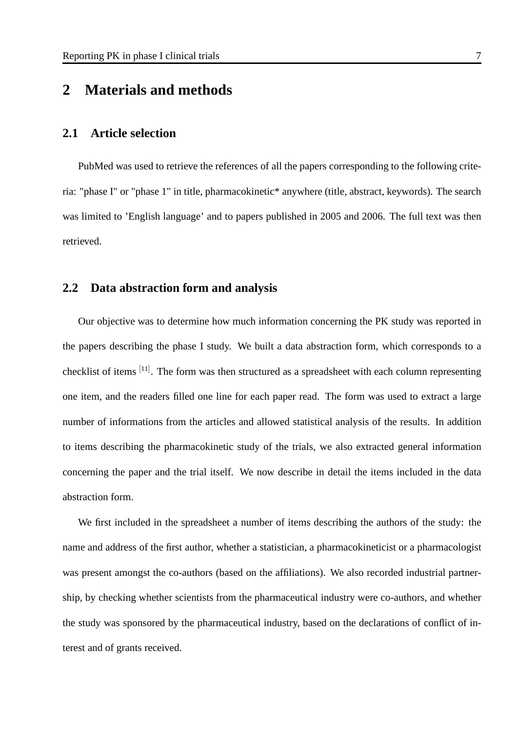### **2 Materials and methods**

#### **2.1 Article selection**

PubMed was used to retrieve the references of all the papers corresponding to the following criteria: "phase I" or "phase 1" in title, pharmacokinetic\* anywhere (title, abstract, keywords). The search was limited to 'English language' and to papers published in 2005 and 2006. The full text was then retrieved.

#### **2.2 Data abstraction form and analysis**

Our objective was to determine how much information concerning the PK study was reported in the papers describing the phase I study. We built a data abstraction form, which corresponds to a checklist of items <sup>[11]</sup>. The form was then structured as a spreadsheet with each column representing one item, and the readers filled one line for each paper read. The form was used to extract a large number of informations from the articles and allowed statistical analysis of the results. In addition to items describing the pharmacokinetic study of the trials, we also extracted general information concerning the paper and the trial itself. We now describe in detail the items included in the data abstraction form.

We first included in the spreadsheet a number of items describing the authors of the study: the name and address of the first author, whether a statistician, a pharmacokineticist or a pharmacologist was present amongst the co-authors (based on the affiliations). We also recorded industrial partnership, by checking whether scientists from the pharmaceutical industry were co-authors, and whether the study was sponsored by the pharmaceutical industry, based on the declarations of conflict of interest and of grants received.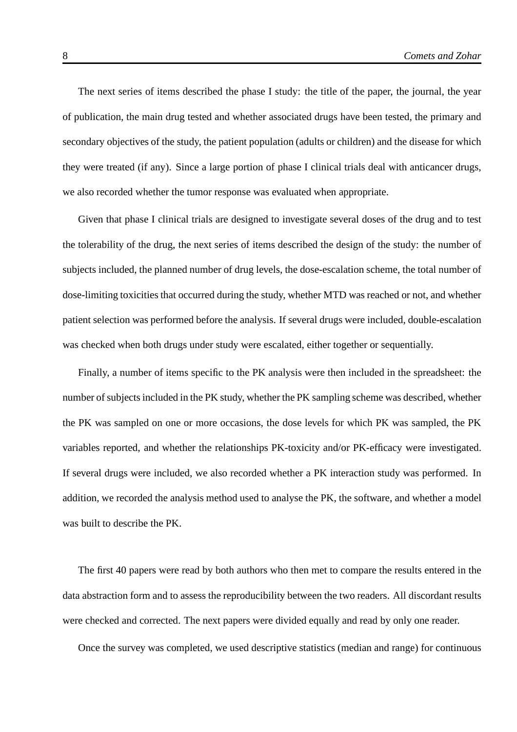The next series of items described the phase I study: the title of the paper, the journal, the year of publication, the main drug tested and whether associated drugs have been tested, the primary and secondary objectives of the study, the patient population (adults or children) and the disease for which they were treated (if any). Since a large portion of phase I clinical trials deal with anticancer drugs, we also recorded whether the tumor response was evaluated when appropriate.

Given that phase I clinical trials are designed to investigate several doses of the drug and to test the tolerability of the drug, the next series of items described the design of the study: the number of subjects included, the planned number of drug levels, the dose-escalation scheme, the total number of dose-limiting toxicities that occurred during the study, whether MTD was reached or not, and whether patient selection was performed before the analysis. If several drugs were included, double-escalation was checked when both drugs under study were escalated, either together or sequentially.

Finally, a number of items specific to the PK analysis were then included in the spreadsheet: the number of subjects included in the PK study, whether the PK sampling scheme was described, whether the PK was sampled on one or more occasions, the dose levels for which PK was sampled, the PK variables reported, and whether the relationships PK-toxicity and/or PK-efficacy were investigated. If several drugs were included, we also recorded whether a PK interaction study was performed. In addition, we recorded the analysis method used to analyse the PK, the software, and whether a model was built to describe the PK.

The first 40 papers were read by both authors who then met to compare the results entered in the data abstraction form and to assess the reproducibility between the two readers. All discordant results were checked and corrected. The next papers were divided equally and read by only one reader.

Once the survey was completed, we used descriptive statistics (median and range) for continuous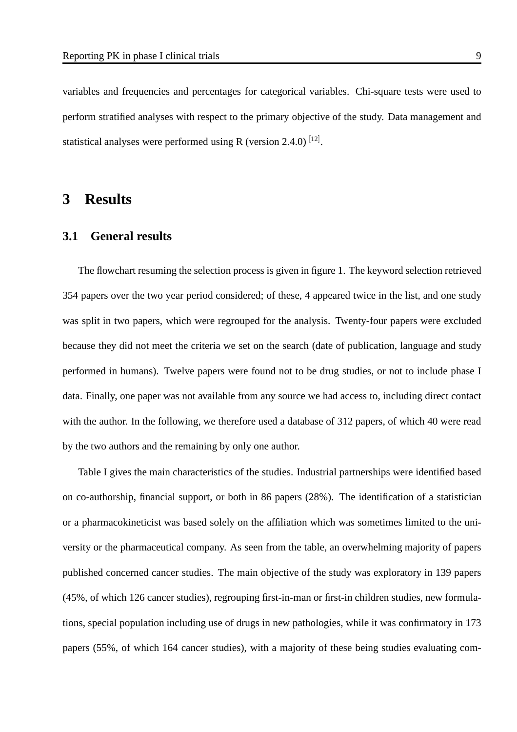variables and frequencies and percentages for categorical variables. Chi-square tests were used to perform stratified analyses with respect to the primary objective of the study. Data management and statistical analyses were performed using R (version 2.4.0)  $^{[12]}$ .

### **3 Results**

#### **3.1 General results**

The flowchart resuming the selection process is given in figure 1. The keyword selection retrieved 354 papers over the two year period considered; of these, 4 appeared twice in the list, and one study was split in two papers, which were regrouped for the analysis. Twenty-four papers were excluded because they did not meet the criteria we set on the search (date of publication, language and study performed in humans). Twelve papers were found not to be drug studies, or not to include phase I data. Finally, one paper was not available from any source we had access to, including direct contact with the author. In the following, we therefore used a database of 312 papers, of which 40 were read by the two authors and the remaining by only one author.

Table I gives the main characteristics of the studies. Industrial partnerships were identified based on co-authorship, financial support, or both in 86 papers (28%). The identification of a statistician or a pharmacokineticist was based solely on the affiliation which was sometimes limited to the university or the pharmaceutical company. As seen from the table, an overwhelming majority of papers published concerned cancer studies. The main objective of the study was exploratory in 139 papers (45%, of which 126 cancer studies), regrouping first-in-man or first-in children studies, new formulations, special population including use of drugs in new pathologies, while it was confirmatory in 173 papers (55%, of which 164 cancer studies), with a majority of these being studies evaluating com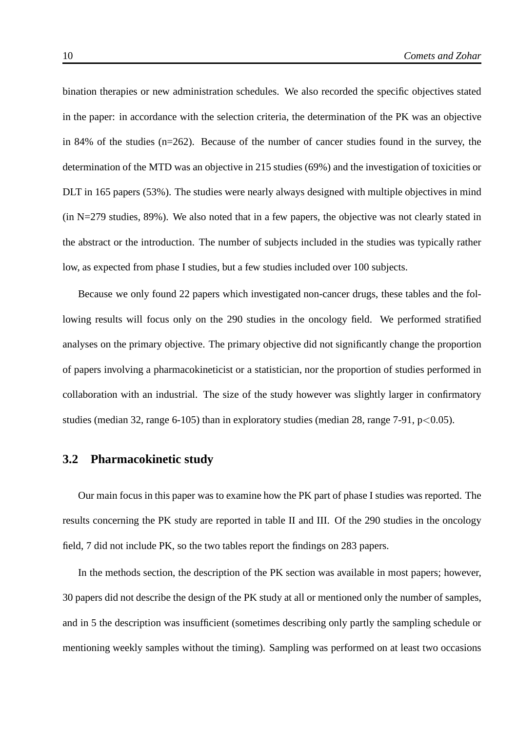bination therapies or new administration schedules. We also recorded the specific objectives stated in the paper: in accordance with the selection criteria, the determination of the PK was an objective in 84% of the studies  $(n=262)$ . Because of the number of cancer studies found in the survey, the determination of the MTD was an objective in 215 studies (69%) and the investigation of toxicities or DLT in 165 papers (53%). The studies were nearly always designed with multiple objectives in mind (in N=279 studies, 89%). We also noted that in a few papers, the objective was not clearly stated in the abstract or the introduction. The number of subjects included in the studies was typically rather low, as expected from phase I studies, but a few studies included over 100 subjects.

Because we only found 22 papers which investigated non-cancer drugs, these tables and the following results will focus only on the 290 studies in the oncology field. We performed stratified analyses on the primary objective. The primary objective did not significantly change the proportion of papers involving a pharmacokineticist or a statistician, nor the proportion of studies performed in collaboration with an industrial. The size of the study however was slightly larger in confirmatory studies (median 32, range 6-105) than in exploratory studies (median 28, range 7-91,  $p<0.05$ ).

#### **3.2 Pharmacokinetic study**

Our main focus in this paper was to examine how the PK part of phase I studies was reported. The results concerning the PK study are reported in table II and III. Of the 290 studies in the oncology field, 7 did not include PK, so the two tables report the findings on 283 papers.

In the methods section, the description of the PK section was available in most papers; however, 30 papers did not describe the design of the PK study at all or mentioned only the number of samples, and in 5 the description was insufficient (sometimes describing only partly the sampling schedule or mentioning weekly samples without the timing). Sampling was performed on at least two occasions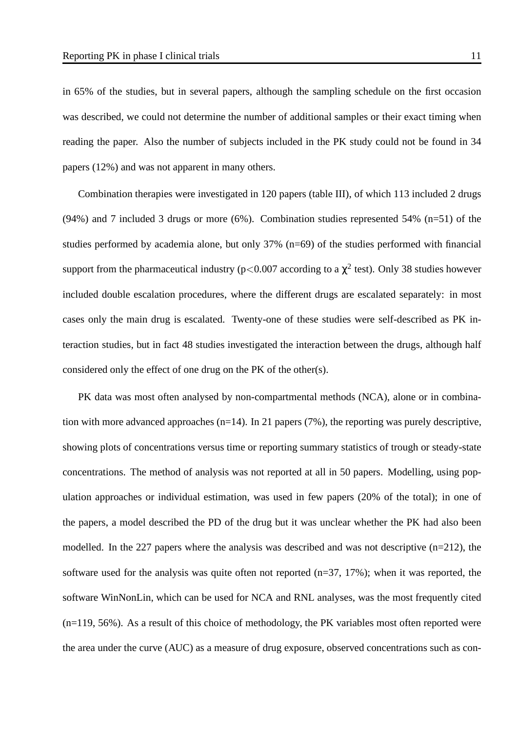in 65% of the studies, but in several papers, although the sampling schedule on the first occasion was described, we could not determine the number of additional samples or their exact timing when reading the paper. Also the number of subjects included in the PK study could not be found in 34 papers (12%) and was not apparent in many others.

Combination therapies were investigated in 120 papers (table III), of which 113 included 2 drugs (94%) and 7 included 3 drugs or more (6%). Combination studies represented 54% (n=51) of the studies performed by academia alone, but only 37% (n=69) of the studies performed with financial support from the pharmaceutical industry (p<0.007 according to a  $\chi^2$  test). Only 38 studies however included double escalation procedures, where the different drugs are escalated separately: in most cases only the main drug is escalated. Twenty-one of these studies were self-described as PK interaction studies, but in fact 48 studies investigated the interaction between the drugs, although half considered only the effect of one drug on the PK of the other(s).

PK data was most often analysed by non-compartmental methods (NCA), alone or in combination with more advanced approaches  $(n=14)$ . In 21 papers (7%), the reporting was purely descriptive, showing plots of concentrations versus time or reporting summary statistics of trough or steady-state concentrations. The method of analysis was not reported at all in 50 papers. Modelling, using population approaches or individual estimation, was used in few papers (20% of the total); in one of the papers, a model described the PD of the drug but it was unclear whether the PK had also been modelled. In the 227 papers where the analysis was described and was not descriptive (n=212), the software used for the analysis was quite often not reported (n=37, 17%); when it was reported, the software WinNonLin, which can be used for NCA and RNL analyses, was the most frequently cited (n=119, 56%). As a result of this choice of methodology, the PK variables most often reported were the area under the curve (AUC) as a measure of drug exposure, observed concentrations such as con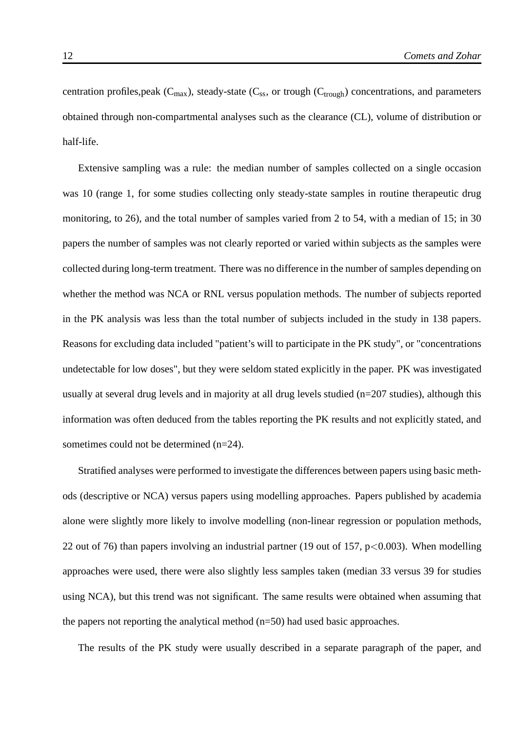centration profiles, peak  $(C_{\text{max}})$ , steady-state  $(C_{\text{ss}})$ , or trough  $(C_{\text{trough}})$  concentrations, and parameters obtained through non-compartmental analyses such as the clearance (CL), volume of distribution or half-life.

Extensive sampling was a rule: the median number of samples collected on a single occasion was 10 (range 1, for some studies collecting only steady-state samples in routine therapeutic drug monitoring, to 26), and the total number of samples varied from 2 to 54, with a median of 15; in 30 papers the number of samples was not clearly reported or varied within subjects as the samples were collected during long-term treatment. There was no difference in the number of samples depending on whether the method was NCA or RNL versus population methods. The number of subjects reported in the PK analysis was less than the total number of subjects included in the study in 138 papers. Reasons for excluding data included "patient's will to participate in the PK study", or "concentrations undetectable for low doses", but they were seldom stated explicitly in the paper. PK was investigated usually at several drug levels and in majority at all drug levels studied (n=207 studies), although this information was often deduced from the tables reporting the PK results and not explicitly stated, and sometimes could not be determined (n=24).

Stratified analyses were performed to investigate the differences between papers using basic methods (descriptive or NCA) versus papers using modelling approaches. Papers published by academia alone were slightly more likely to involve modelling (non-linear regression or population methods, 22 out of 76) than papers involving an industrial partner (19 out of 157,  $p<0.003$ ). When modelling approaches were used, there were also slightly less samples taken (median 33 versus 39 for studies using NCA), but this trend was not significant. The same results were obtained when assuming that the papers not reporting the analytical method (n=50) had used basic approaches.

The results of the PK study were usually described in a separate paragraph of the paper, and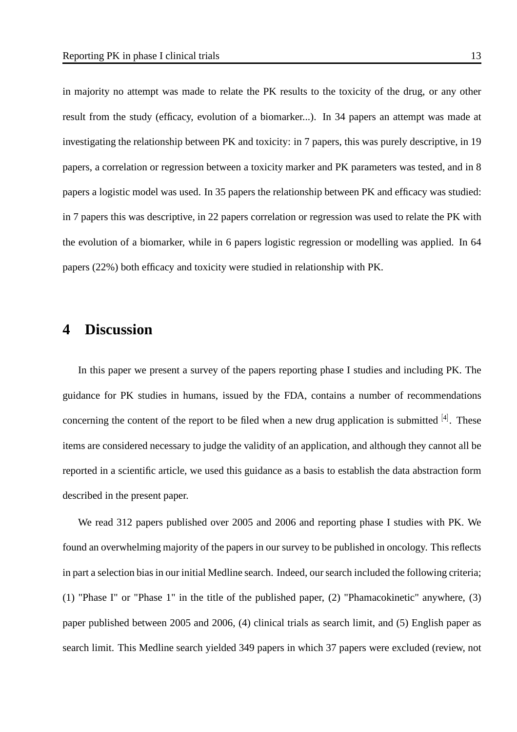in majority no attempt was made to relate the PK results to the toxicity of the drug, or any other result from the study (efficacy, evolution of a biomarker...). In 34 papers an attempt was made at investigating the relationship between PK and toxicity: in 7 papers, this was purely descriptive, in 19 papers, a correlation or regression between a toxicity marker and PK parameters was tested, and in 8 papers a logistic model was used. In 35 papers the relationship between PK and efficacy was studied: in 7 papers this was descriptive, in 22 papers correlation or regression was used to relate the PK with the evolution of a biomarker, while in 6 papers logistic regression or modelling was applied. In 64 papers (22%) both efficacy and toxicity were studied in relationship with PK.

### **4 Discussion**

In this paper we present a survey of the papers reporting phase I studies and including PK. The guidance for PK studies in humans, issued by the FDA, contains a number of recommendations concerning the content of the report to be filed when a new drug application is submitted  $[4]$ . These items are considered necessary to judge the validity of an application, and although they cannot all be reported in a scientific article, we used this guidance as a basis to establish the data abstraction form described in the present paper.

We read 312 papers published over 2005 and 2006 and reporting phase I studies with PK. We found an overwhelming majority of the papers in our survey to be published in oncology. This reflects in part a selection bias in our initial Medline search. Indeed, our search included the following criteria; (1) "Phase I" or "Phase 1" in the title of the published paper, (2) "Phamacokinetic" anywhere, (3) paper published between 2005 and 2006, (4) clinical trials as search limit, and (5) English paper as search limit. This Medline search yielded 349 papers in which 37 papers were excluded (review, not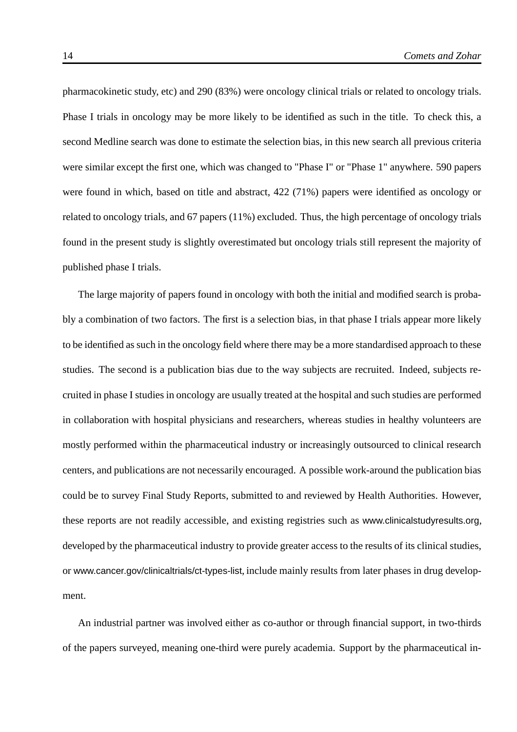pharmacokinetic study, etc) and 290 (83%) were oncology clinical trials or related to oncology trials. Phase I trials in oncology may be more likely to be identified as such in the title. To check this, a second Medline search was done to estimate the selection bias, in this new search all previous criteria were similar except the first one, which was changed to "Phase I" or "Phase 1" anywhere. 590 papers were found in which, based on title and abstract, 422 (71%) papers were identified as oncology or related to oncology trials, and 67 papers (11%) excluded. Thus, the high percentage of oncology trials found in the present study is slightly overestimated but oncology trials still represent the majority of published phase I trials.

The large majority of papers found in oncology with both the initial and modified search is probably a combination of two factors. The first is a selection bias, in that phase I trials appear more likely to be identified as such in the oncology field where there may be a more standardised approach to these studies. The second is a publication bias due to the way subjects are recruited. Indeed, subjects recruited in phase I studies in oncology are usually treated at the hospital and such studies are performed in collaboration with hospital physicians and researchers, whereas studies in healthy volunteers are mostly performed within the pharmaceutical industry or increasingly outsourced to clinical research centers, and publications are not necessarily encouraged. A possible work-around the publication bias could be to survey Final Study Reports, submitted to and reviewed by Health Authorities. However, these reports are not readily accessible, and existing registries such as www.clinicalstudyresults.org, developed by the pharmaceutical industry to provide greater access to the results of its clinical studies, or www.cancer.gov/clinicaltrials/ct-types-list, include mainly results from later phases in drug development.

An industrial partner was involved either as co-author or through financial support, in two-thirds of the papers surveyed, meaning one-third were purely academia. Support by the pharmaceutical in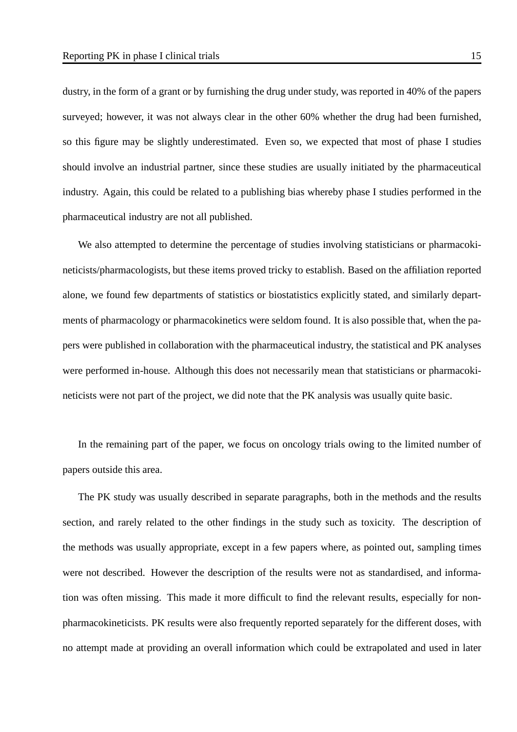dustry, in the form of a grant or by furnishing the drug under study, was reported in 40% of the papers surveyed; however, it was not always clear in the other 60% whether the drug had been furnished, so this figure may be slightly underestimated. Even so, we expected that most of phase I studies should involve an industrial partner, since these studies are usually initiated by the pharmaceutical industry. Again, this could be related to a publishing bias whereby phase I studies performed in the pharmaceutical industry are not all published.

We also attempted to determine the percentage of studies involving statisticians or pharmacokineticists/pharmacologists, but these items proved tricky to establish. Based on the affiliation reported alone, we found few departments of statistics or biostatistics explicitly stated, and similarly departments of pharmacology or pharmacokinetics were seldom found. It is also possible that, when the papers were published in collaboration with the pharmaceutical industry, the statistical and PK analyses were performed in-house. Although this does not necessarily mean that statisticians or pharmacokineticists were not part of the project, we did note that the PK analysis was usually quite basic.

In the remaining part of the paper, we focus on oncology trials owing to the limited number of papers outside this area.

The PK study was usually described in separate paragraphs, both in the methods and the results section, and rarely related to the other findings in the study such as toxicity. The description of the methods was usually appropriate, except in a few papers where, as pointed out, sampling times were not described. However the description of the results were not as standardised, and information was often missing. This made it more difficult to find the relevant results, especially for nonpharmacokineticists. PK results were also frequently reported separately for the different doses, with no attempt made at providing an overall information which could be extrapolated and used in later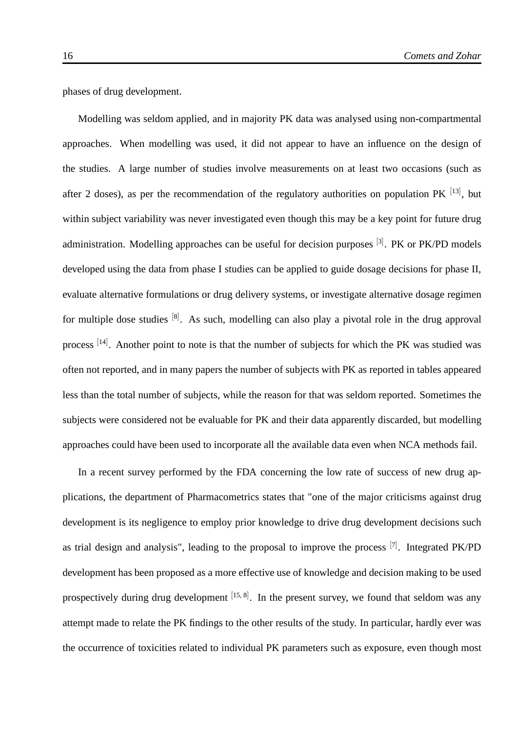phases of drug development.

Modelling was seldom applied, and in majority PK data was analysed using non-compartmental approaches. When modelling was used, it did not appear to have an influence on the design of the studies. A large number of studies involve measurements on at least two occasions (such as after 2 doses), as per the recommendation of the regulatory authorities on population PK  $^{[13]}$ , but within subject variability was never investigated even though this may be a key point for future drug administration. Modelling approaches can be useful for decision purposes <sup>[3]</sup>. PK or PK/PD models developed using the data from phase I studies can be applied to guide dosage decisions for phase II, evaluate alternative formulations or drug delivery systems, or investigate alternative dosage regimen for multiple dose studies <sup>[8]</sup>. As such, modelling can also play a pivotal role in the drug approval process  $^{[14]}$ . Another point to note is that the number of subjects for which the PK was studied was often not reported, and in many papers the number of subjects with PK as reported in tables appeared less than the total number of subjects, while the reason for that was seldom reported. Sometimes the subjects were considered not be evaluable for PK and their data apparently discarded, but modelling approaches could have been used to incorporate all the available data even when NCA methods fail.

In a recent survey performed by the FDA concerning the low rate of success of new drug applications, the department of Pharmacometrics states that "one of the major criticisms against drug development is its negligence to employ prior knowledge to drive drug development decisions such as trial design and analysis", leading to the proposal to improve the process <sup>[7]</sup>. Integrated PK/PD development has been proposed as a more effective use of knowledge and decision making to be used prospectively during drug development [15,8]. In the present survey, we found that seldom was any attempt made to relate the PK findings to the other results of the study. In particular, hardly ever was the occurrence of toxicities related to individual PK parameters such as exposure, even though most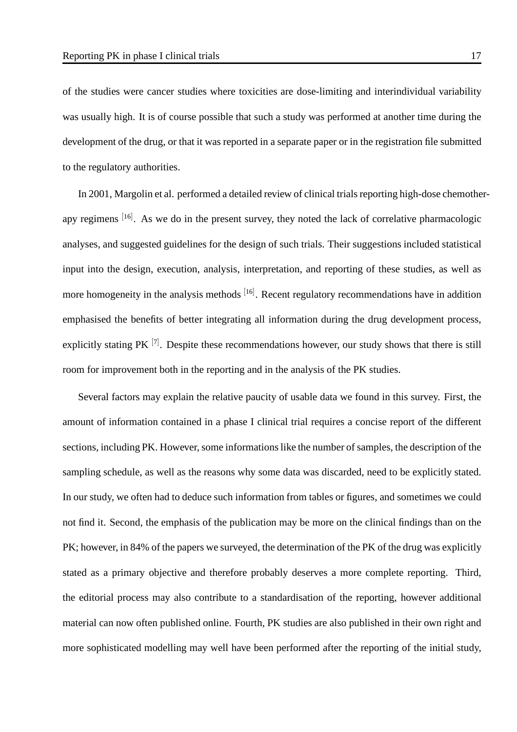of the studies were cancer studies where toxicities are dose-limiting and interindividual variability was usually high. It is of course possible that such a study was performed at another time during the development of the drug, or that it was reported in a separate paper or in the registration file submitted to the regulatory authorities.

In 2001, Margolin et al. performed a detailed review of clinical trials reporting high-dose chemotherapy regimens [16]. As we do in the present survey, they noted the lack of correlative pharmacologic analyses, and suggested guidelines for the design of such trials. Their suggestions included statistical input into the design, execution, analysis, interpretation, and reporting of these studies, as well as more homogeneity in the analysis methods <sup>[16]</sup>. Recent regulatory recommendations have in addition emphasised the benefits of better integrating all information during the drug development process, explicitly stating PK  $^{[7]}$ . Despite these recommendations however, our study shows that there is still room for improvement both in the reporting and in the analysis of the PK studies.

Several factors may explain the relative paucity of usable data we found in this survey. First, the amount of information contained in a phase I clinical trial requires a concise report of the different sections, including PK. However, some informations like the number of samples, the description of the sampling schedule, as well as the reasons why some data was discarded, need to be explicitly stated. In our study, we often had to deduce such information from tables or figures, and sometimes we could not find it. Second, the emphasis of the publication may be more on the clinical findings than on the PK; however, in 84% of the papers we surveyed, the determination of the PK of the drug was explicitly stated as a primary objective and therefore probably deserves a more complete reporting. Third, the editorial process may also contribute to a standardisation of the reporting, however additional material can now often published online. Fourth, PK studies are also published in their own right and more sophisticated modelling may well have been performed after the reporting of the initial study,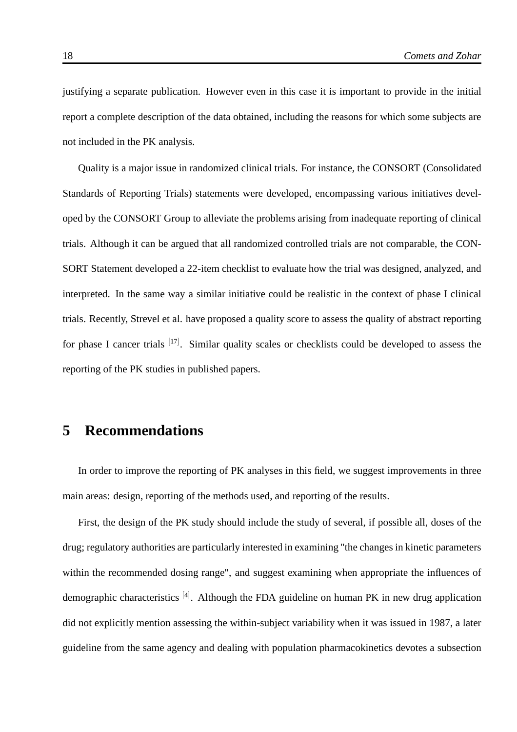justifying a separate publication. However even in this case it is important to provide in the initial report a complete description of the data obtained, including the reasons for which some subjects are not included in the PK analysis.

Quality is a major issue in randomized clinical trials. For instance, the CONSORT (Consolidated Standards of Reporting Trials) statements were developed, encompassing various initiatives developed by the CONSORT Group to alleviate the problems arising from inadequate reporting of clinical trials. Although it can be argued that all randomized controlled trials are not comparable, the CON-SORT Statement developed a 22-item checklist to evaluate how the trial was designed, analyzed, and interpreted. In the same way a similar initiative could be realistic in the context of phase I clinical trials. Recently, Strevel et al. have proposed a quality score to assess the quality of abstract reporting for phase I cancer trials [17]. Similar quality scales or checklists could be developed to assess the reporting of the PK studies in published papers.

### **5 Recommendations**

In order to improve the reporting of PK analyses in this field, we suggest improvements in three main areas: design, reporting of the methods used, and reporting of the results.

First, the design of the PK study should include the study of several, if possible all, doses of the drug; regulatory authorities are particularly interested in examining "the changes in kinetic parameters within the recommended dosing range", and suggest examining when appropriate the influences of demographic characteristics [4]. Although the FDA guideline on human PK in new drug application did not explicitly mention assessing the within-subject variability when it was issued in 1987, a later guideline from the same agency and dealing with population pharmacokinetics devotes a subsection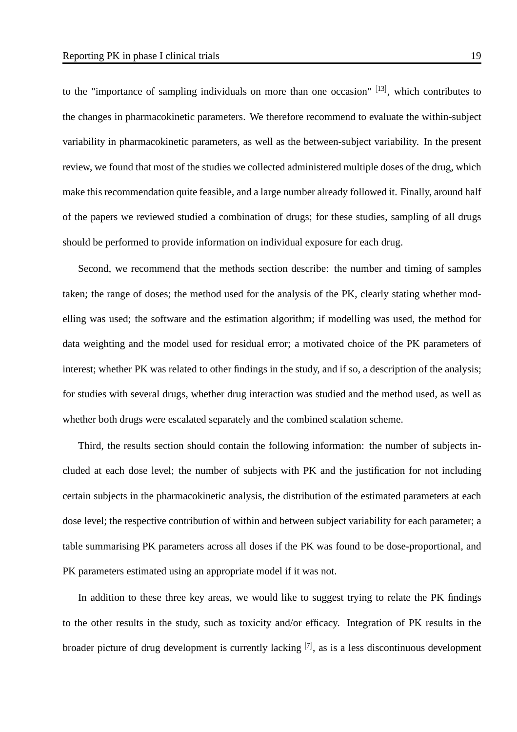to the "importance of sampling individuals on more than one occasion" [13], which contributes to the changes in pharmacokinetic parameters. We therefore recommend to evaluate the within-subject variability in pharmacokinetic parameters, as well as the between-subject variability. In the present review, we found that most of the studies we collected administered multiple doses of the drug, which make this recommendation quite feasible, and a large number already followed it. Finally, around half of the papers we reviewed studied a combination of drugs; for these studies, sampling of all drugs should be performed to provide information on individual exposure for each drug.

Second, we recommend that the methods section describe: the number and timing of samples taken; the range of doses; the method used for the analysis of the PK, clearly stating whether modelling was used; the software and the estimation algorithm; if modelling was used, the method for data weighting and the model used for residual error; a motivated choice of the PK parameters of interest; whether PK was related to other findings in the study, and if so, a description of the analysis; for studies with several drugs, whether drug interaction was studied and the method used, as well as whether both drugs were escalated separately and the combined scalation scheme.

Third, the results section should contain the following information: the number of subjects included at each dose level; the number of subjects with PK and the justification for not including certain subjects in the pharmacokinetic analysis, the distribution of the estimated parameters at each dose level; the respective contribution of within and between subject variability for each parameter; a table summarising PK parameters across all doses if the PK was found to be dose-proportional, and PK parameters estimated using an appropriate model if it was not.

In addition to these three key areas, we would like to suggest trying to relate the PK findings to the other results in the study, such as toxicity and/or efficacy. Integration of PK results in the broader picture of drug development is currently lacking  $[7]$ , as is a less discontinuous development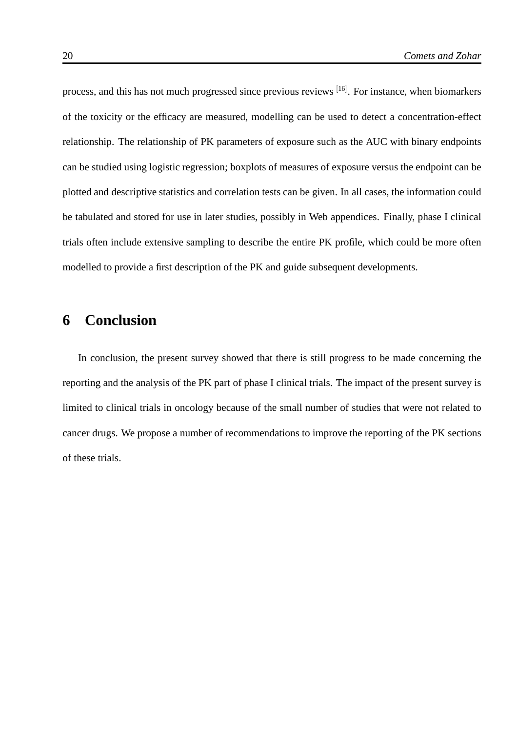process, and this has not much progressed since previous reviews [16]. For instance, when biomarkers of the toxicity or the efficacy are measured, modelling can be used to detect a concentration-effect relationship. The relationship of PK parameters of exposure such as the AUC with binary endpoints can be studied using logistic regression; boxplots of measures of exposure versus the endpoint can be plotted and descriptive statistics and correlation tests can be given. In all cases, the information could be tabulated and stored for use in later studies, possibly in Web appendices. Finally, phase I clinical trials often include extensive sampling to describe the entire PK profile, which could be more often modelled to provide a first description of the PK and guide subsequent developments.

### **6 Conclusion**

In conclusion, the present survey showed that there is still progress to be made concerning the reporting and the analysis of the PK part of phase I clinical trials. The impact of the present survey is limited to clinical trials in oncology because of the small number of studies that were not related to cancer drugs. We propose a number of recommendations to improve the reporting of the PK sections of these trials.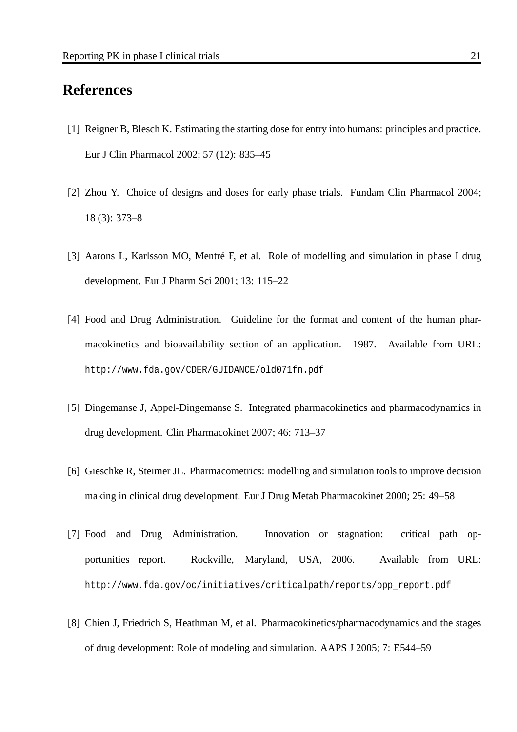### **References**

- [1] Reigner B, Blesch K. Estimating the starting dose for entry into humans: principles and practice. Eur J Clin Pharmacol 2002; 57 (12): 835–45
- [2] Zhou Y. Choice of designs and doses for early phase trials. Fundam Clin Pharmacol 2004; 18 (3): 373–8
- [3] Aarons L, Karlsson MO, Mentré F, et al. Role of modelling and simulation in phase I drug development. Eur J Pharm Sci 2001; 13: 115–22
- [4] Food and Drug Administration. Guideline for the format and content of the human pharmacokinetics and bioavailability section of an application. 1987. Available from URL: http://www.fda.gov/CDER/GUIDANCE/old071fn.pdf
- [5] Dingemanse J, Appel-Dingemanse S. Integrated pharmacokinetics and pharmacodynamics in drug development. Clin Pharmacokinet 2007; 46: 713–37
- [6] Gieschke R, Steimer JL. Pharmacometrics: modelling and simulation tools to improve decision making in clinical drug development. Eur J Drug Metab Pharmacokinet 2000; 25: 49–58
- [7] Food and Drug Administration. Innovation or stagnation: critical path opportunities report. Rockville, Maryland, USA, 2006. Available from URL: http://www.fda.gov/oc/initiatives/criticalpath/reports/opp\_report.pdf
- [8] Chien J, Friedrich S, Heathman M, et al. Pharmacokinetics/pharmacodynamics and the stages of drug development: Role of modeling and simulation. AAPS J 2005; 7: E544–59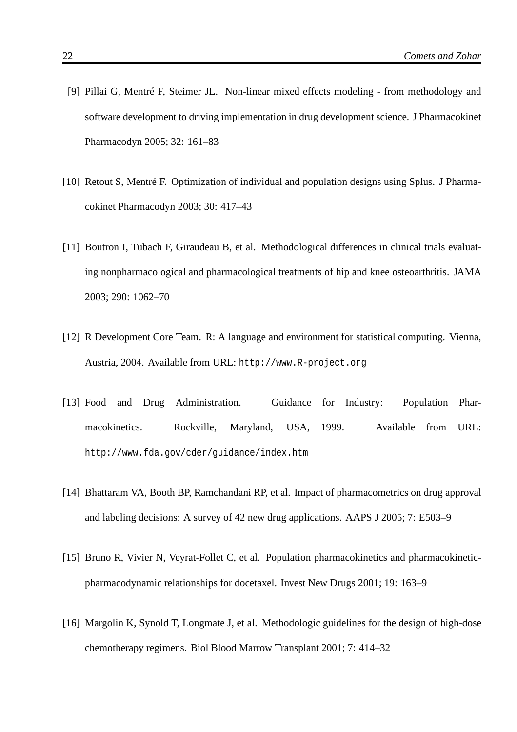- [9] Pillai G, Mentré F, Steimer JL. Non-linear mixed effects modeling from methodology and software development to driving implementation in drug development science. J Pharmacokinet Pharmacodyn 2005; 32: 161–83
- [10] Retout S, Mentré F. Optimization of individual and population designs using Splus. J Pharmacokinet Pharmacodyn 2003; 30: 417–43
- [11] Boutron I, Tubach F, Giraudeau B, et al. Methodological differences in clinical trials evaluating nonpharmacological and pharmacological treatments of hip and knee osteoarthritis. JAMA 2003; 290: 1062–70
- [12] R Development Core Team. R: A language and environment for statistical computing. Vienna, Austria, 2004. Available from URL: http://www.R-project.org
- [13] Food and Drug Administration. Guidance for Industry: Population Pharmacokinetics. Rockville, Maryland, USA, 1999. Available from URL: http://www.fda.gov/cder/guidance/index.htm
- [14] Bhattaram VA, Booth BP, Ramchandani RP, et al. Impact of pharmacometrics on drug approval and labeling decisions: A survey of 42 new drug applications. AAPS J 2005; 7: E503–9
- [15] Bruno R, Vivier N, Veyrat-Follet C, et al. Population pharmacokinetics and pharmacokineticpharmacodynamic relationships for docetaxel. Invest New Drugs 2001; 19: 163–9
- [16] Margolin K, Synold T, Longmate J, et al. Methodologic guidelines for the design of high-dose chemotherapy regimens. Biol Blood Marrow Transplant 2001; 7: 414–32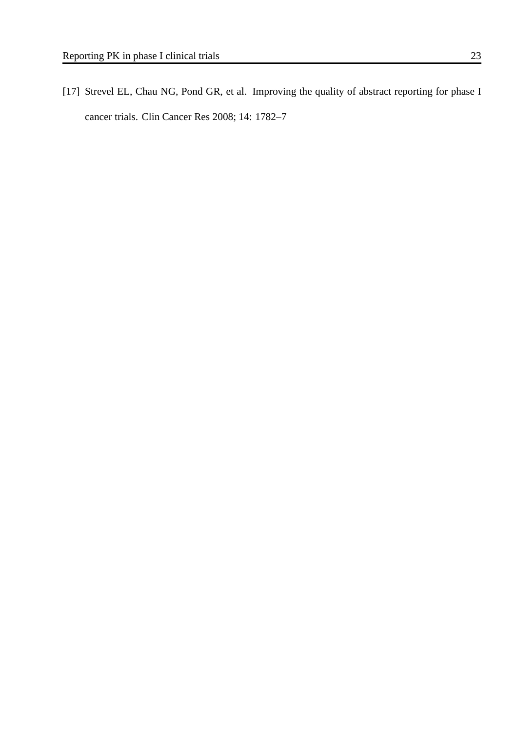[17] Strevel EL, Chau NG, Pond GR, et al. Improving the quality of abstract reporting for phase I cancer trials. Clin Cancer Res 2008; 14: 1782–7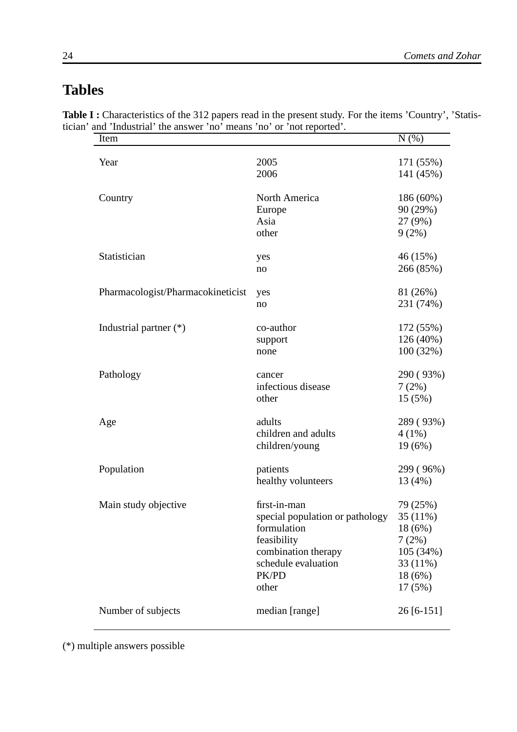### **Tables**

| 2005                            |                                                                                            |
|---------------------------------|--------------------------------------------------------------------------------------------|
|                                 | 171 (55%)                                                                                  |
| 2006                            | 141 (45%)                                                                                  |
| North America                   | 186 (60%)                                                                                  |
| Europe                          | 90 (29%)                                                                                   |
| Asia                            | 27 (9%)                                                                                    |
| other                           | 9(2%)                                                                                      |
| yes                             | 46 (15%)                                                                                   |
| no                              | 266 (85%)                                                                                  |
| yes                             | 81 (26%)                                                                                   |
| no                              | 231 (74%)                                                                                  |
| co-author                       | 172 (55%)                                                                                  |
|                                 | 126 (40%)                                                                                  |
| none                            | 100(32%)                                                                                   |
| cancer                          | 290 (93%)                                                                                  |
| infectious disease              | 7(2%)                                                                                      |
| other                           | 15(5%)                                                                                     |
| adults                          | 289 (93%)                                                                                  |
| children and adults             | $4(1\%)$                                                                                   |
| children/young                  | 19(6%)                                                                                     |
| patients                        | 299 (96%)                                                                                  |
| healthy volunteers              | 13 (4%)                                                                                    |
| first-in-man                    | 79 (25%)                                                                                   |
| special population or pathology | 35 (11%)                                                                                   |
| formulation                     | 18 (6%)                                                                                    |
| feasibility                     | 7(2%)                                                                                      |
|                                 | 105 (34%)                                                                                  |
|                                 | 33 (11%)                                                                                   |
| PK/PD                           | 18 (6%)                                                                                    |
| other                           | 17(5%)                                                                                     |
| median [range]                  | $26[6-151]$                                                                                |
|                                 | Pharmacologist/Pharmacokineticist<br>support<br>combination therapy<br>schedule evaluation |

**Table I :** Characteristics of the 312 papers read in the present study. For the items 'Country', 'Statistician' and 'Industrial' the answer 'no' means 'no' or 'not reported'.

(\*) multiple answers possible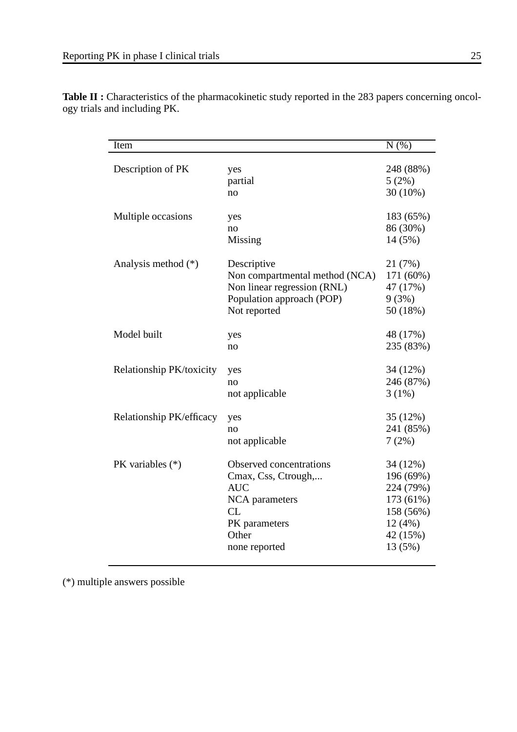| Item                     |                                                                                                                                        | $\overline{N(%)}$                                                                             |
|--------------------------|----------------------------------------------------------------------------------------------------------------------------------------|-----------------------------------------------------------------------------------------------|
| Description of PK        | yes<br>partial<br>no                                                                                                                   | 248 (88%)<br>5(2%)<br>30 (10%)                                                                |
| Multiple occasions       | yes<br>no<br>Missing                                                                                                                   | 183 (65%)<br>86 (30%)<br>14 (5%)                                                              |
| Analysis method $(*)$    | Descriptive<br>Non compartmental method (NCA)<br>Non linear regression (RNL)<br>Population approach (POP)<br>Not reported              | 21 (7%)<br>171 (60%)<br>47 (17%)<br>9(3%)<br>50 (18%)                                         |
| Model built              | yes<br>no                                                                                                                              | 48 (17%)<br>235 (83%)                                                                         |
| Relationship PK/toxicity | yes<br>no<br>not applicable                                                                                                            | 34 (12%)<br>246 (87%)<br>3(1%)                                                                |
| Relationship PK/efficacy | yes<br>no<br>not applicable                                                                                                            | 35 (12%)<br>241 (85%)<br>7(2%)                                                                |
| PK variables $(*)$       | Observed concentrations<br>Cmax, Css, Ctrough,<br><b>AUC</b><br><b>NCA</b> parameters<br>CL<br>PK parameters<br>Other<br>none reported | 34 (12%)<br>196 (69%)<br>224 (79%)<br>173 (61%)<br>158 (56%)<br>12(4%)<br>42 (15%)<br>13 (5%) |

**Table II :** Characteristics of the pharmacokinetic study reported in the 283 papers concerning oncology trials and including PK.

(\*) multiple answers possible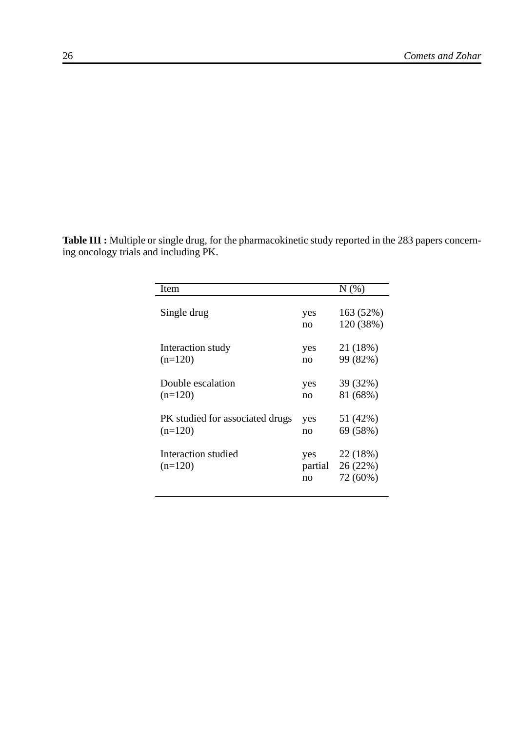**Table III :** Multiple or single drug, for the pharmacokinetic study reported in the 283 papers concerning oncology trials and including PK.

| Item                             |                      | $N(\%)$                          |
|----------------------------------|----------------------|----------------------------------|
| Single drug                      | yes<br>no            | 163 (52%)<br>120 (38%)           |
| Interaction study                | yes                  | 21 (18%)                         |
| $(n=120)$                        | no                   | 99 (82%)                         |
| Double escalation                | yes                  | 39 (32%)                         |
| $(n=120)$                        | no                   | 81 (68%)                         |
| PK studied for associated drugs  | yes                  | 51 (42%)                         |
| $(n=120)$                        | no                   | 69 (58%)                         |
| Interaction studied<br>$(n=120)$ | yes<br>partial<br>no | 22 (18%)<br>26 (22%)<br>72 (60%) |